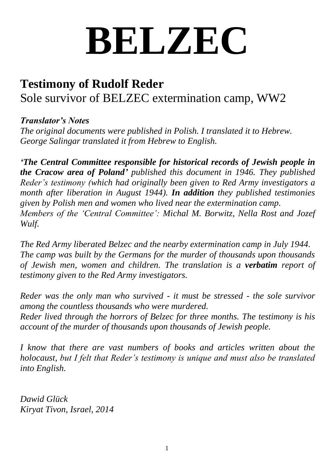## **BELZEC**

## **Testimony of Rudolf Reder** Sole survivor of BELZEC extermination camp, WW2

## *Translator's Notes*

*The original documents were published in Polish. I translated it to Hebrew. George Salingar translated it from Hebrew to English.*

*'The Central Committee responsible for historical records of Jewish people in the Cracow area of Poland' published this document in 1946. They published Reder's testimony (which had originally been given to Red Army investigators a month after liberation in August 1944). In addition they published testimonies given by Polish men and women who lived near the extermination camp. Members of the 'Central Committee': Michal M. Borwitz, Nella Rost and Jozef Wulf.*

*The Red Army liberated Belzec and the nearby extermination camp in July 1944. The camp was built by the Germans for the murder of thousands upon thousands of Jewish men, women and children. The translation is a verbatim report of testimony given to the Red Army investigators.*

*Reder was the only man who survived - it must be stressed - the sole survivor among the countless thousands who were murdered. Reder lived through the horrors of Belzec for three months. The testimony is his account of the murder of thousands upon thousands of Jewish people.*

*I know that there are vast numbers of books and articles written about the holocaust, but I felt that Reder's testimony is unique and must also be translated into English.*

*Dawid Glück Kiryat Tivon, Israel, 2014*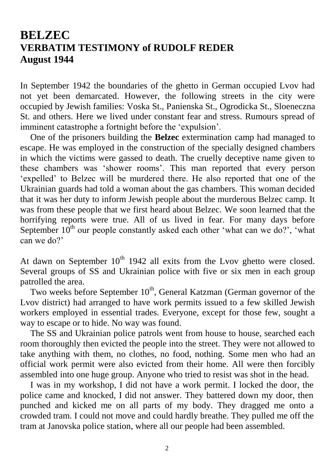## **BELZEC VERBATIM TESTIMONY of RUDOLF REDER August 1944**

In September 1942 the boundaries of the ghetto in German occupied Lvov had not yet been demarcated. However, the following streets in the city were occupied by Jewish families: Voska St., Panienska St., Ogrodicka St., Sloeneczna St. and others. Here we lived under constant fear and stress. Rumours spread of imminent catastrophe a fortnight before the 'expulsion'.

One of the prisoners building the **Belzec** extermination camp had managed to escape. He was employed in the construction of the specially designed chambers in which the victims were gassed to death. The cruelly deceptive name given to these chambers was 'shower rooms'. This man reported that every person 'expelled' to Belzec will be murdered there. He also reported that one of the Ukrainian guards had told a woman about the gas chambers. This woman decided that it was her duty to inform Jewish people about the murderous Belzec camp. It was from these people that we first heard about Belzec. We soon learned that the horrifying reports were true. All of us lived in fear. For many days before September  $10^{th}$  our people constantly asked each other 'what can we do?', 'what can we do?'

At dawn on September  $10^{th}$  1942 all exits from the Lvov ghetto were closed. Several groups of SS and Ukrainian police with five or six men in each group patrolled the area.

Two weeks before September  $10^{th}$ , General Katzman (German governor of the Lvov district) had arranged to have work permits issued to a few skilled Jewish workers employed in essential trades. Everyone, except for those few, sought a way to escape or to hide. No way was found.

The SS and Ukrainian police patrols went from house to house, searched each room thoroughly then evicted the people into the street. They were not allowed to take anything with them, no clothes, no food, nothing. Some men who had an official work permit were also evicted from their home. All were then forcibly assembled into one huge group. Anyone who tried to resist was shot in the head.

I was in my workshop, I did not have a work permit. I locked the door, the police came and knocked, I did not answer. They battered down my door, then punched and kicked me on all parts of my body. They dragged me onto a crowded tram. I could not move and could hardly breathe. They pulled me off the tram at Janovska police station, where all our people had been assembled.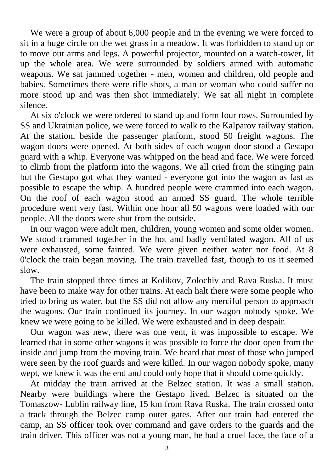We were a group of about 6,000 people and in the evening we were forced to sit in a huge circle on the wet grass in a meadow. It was forbidden to stand up or to move our arms and legs. A powerful projector, mounted on a watch-tower, lit up the whole area. We were surrounded by soldiers armed with automatic weapons. We sat jammed together - men, women and children, old people and babies. Sometimes there were rifle shots, a man or woman who could suffer no more stood up and was then shot immediately. We sat all night in complete silence.

At six o'clock we were ordered to stand up and form four rows. Surrounded by SS and Ukrainian police, we were forced to walk to the Kalparov railway station. At the station, beside the passenger platform, stood 50 freight wagons. The wagon doors were opened. At both sides of each wagon door stood a Gestapo guard with a whip. Everyone was whipped on the head and face. We were forced to climb from the platform into the wagons. We all cried from the stinging pain but the Gestapo got what they wanted - everyone got into the wagon as fast as possible to escape the whip. A hundred people were crammed into each wagon. On the roof of each wagon stood an armed SS guard. The whole terrible procedure went very fast. Within one hour all 50 wagons were loaded with our people. All the doors were shut from the outside.

In our wagon were adult men, children, young women and some older women. We stood crammed together in the hot and badly ventilated wagon. All of us were exhausted, some fainted. We were given neither water nor food. At 8 0'clock the train began moving. The train travelled fast, though to us it seemed slow.

The train stopped three times at Kolikov, Zolochiv and Rava Ruska. It must have been to make way for other trains. At each halt there were some people who tried to bring us water, but the SS did not allow any merciful person to approach the wagons. Our train continued its journey. In our wagon nobody spoke. We knew we were going to be killed. We were exhausted and in deep despair.

Our wagon was new, there was one vent, it was impossible to escape. We learned that in some other wagons it was possible to force the door open from the inside and jump from the moving train. We heard that most of those who jumped were seen by the roof guards and were killed. In our wagon nobody spoke, many wept, we knew it was the end and could only hope that it should come quickly.

At midday the train arrived at the Belzec station. It was a small station. Nearby were buildings where the Gestapo lived. Belzec is situated on the Tomaszow- Lublin railway line, 15 km from Rava Ruska. The train crossed onto a track through the Belzec camp outer gates. After our train had entered the camp, an SS officer took over command and gave orders to the guards and the train driver. This officer was not a young man, he had a cruel face, the face of a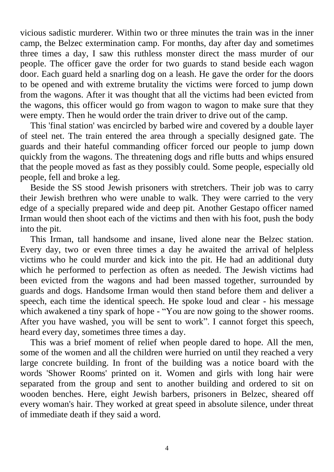vicious sadistic murderer. Within two or three minutes the train was in the inner camp, the Belzec extermination camp. For months, day after day and sometimes three times a day, I saw this ruthless monster direct the mass murder of our people. The officer gave the order for two guards to stand beside each wagon door. Each guard held a snarling dog on a leash. He gave the order for the doors to be opened and with extreme brutality the victims were forced to jump down from the wagons. After it was thought that all the victims had been evicted from the wagons, this officer would go from wagon to wagon to make sure that they were empty. Then he would order the train driver to drive out of the camp.

This 'final station' was encircled by barbed wire and covered by a double layer of steel net. The train entered the area through a specially designed gate. The guards and their hateful commanding officer forced our people to jump down quickly from the wagons. The threatening dogs and rifle butts and whips ensured that the people moved as fast as they possibly could. Some people, especially old people, fell and broke a leg.

Beside the SS stood Jewish prisoners with stretchers. Their job was to carry their Jewish brethren who were unable to walk. They were carried to the very edge of a specially prepared wide and deep pit. Another Gestapo officer named Irman would then shoot each of the victims and then with his foot, push the body into the pit.

This Irman, tall handsome and insane, lived alone near the Belzec station. Every day, two or even three times a day he awaited the arrival of helpless victims who he could murder and kick into the pit. He had an additional duty which he performed to perfection as often as needed. The Jewish victims had been evicted from the wagons and had been massed together, surrounded by guards and dogs. Handsome Irman would then stand before them and deliver a speech, each time the identical speech. He spoke loud and clear - his message which awakened a tiny spark of hope - "You are now going to the shower rooms. After you have washed, you will be sent to work". I cannot forget this speech, heard every day, sometimes three times a day.

This was a brief moment of relief when people dared to hope. All the men, some of the women and all the children were hurried on until they reached a very large concrete building. In front of the building was a notice board with the words 'Shower Rooms' printed on it. Women and girls with long hair were separated from the group and sent to another building and ordered to sit on wooden benches. Here, eight Jewish barbers, prisoners in Belzec, sheared off every woman's hair. They worked at great speed in absolute silence, under threat of immediate death if they said a word.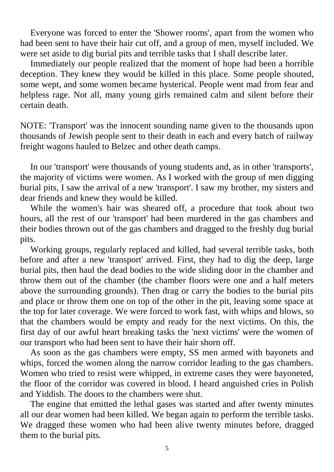Everyone was forced to enter the 'Shower rooms', apart from the women who had been sent to have their hair cut off, and a group of men, myself included. We were set aside to dig burial pits and terrible tasks that I shall describe later.

Immediately our people realized that the moment of hope had been a horrible deception. They knew they would be killed in this place. Some people shouted, some wept, and some women became hysterical. People went mad from fear and helpless rage. Not all, many young girls remained calm and silent before their certain death.

NOTE: 'Transport' was the innocent sounding name given to the thousands upon thousands of Jewish people sent to their death in each and every batch of railway freight wagons hauled to Belzec and other death camps.

In our 'transport' were thousands of young students and, as in other 'transports', the majority of victims were women. As I worked with the group of men digging burial pits, I saw the arrival of a new 'transport'. I saw my brother, my sisters and dear friends and knew they would be killed.

While the women's hair was sheared off, a procedure that took about two hours, all the rest of our 'transport' had been murdered in the gas chambers and their bodies thrown out of the gas chambers and dragged to the freshly dug burial pits.

Working groups, regularly replaced and killed, had several terrible tasks, both before and after a new 'transport' arrived. First, they had to dig the deep, large burial pits, then haul the dead bodies to the wide sliding door in the chamber and throw them out of the chamber (the chamber floors were one and a half meters above the surrounding grounds). Then drag or carry the bodies to the burial pits and place or throw them one on top of the other in the pit, leaving some space at the top for later coverage. We were forced to work fast, with whips and blows, so that the chambers would be empty and ready for the next victims. On this, the first day of our awful heart breaking tasks the 'next victims' were the women of our transport who had been sent to have their hair shorn off.

As soon as the gas chambers were empty, SS men armed with bayonets and whips, forced the women along the narrow corridor leading to the gas chambers. Women who tried to resist were whipped, in extreme cases they were bayoneted, the floor of the corridor was covered in blood. I heard anguished cries in Polish and Yiddish. The doors to the chambers were shut.

The engine that emitted the lethal gases was started and after twenty minutes all our dear women had been killed. We began again to perform the terrible tasks. We dragged these women who had been alive twenty minutes before, dragged them to the burial pits.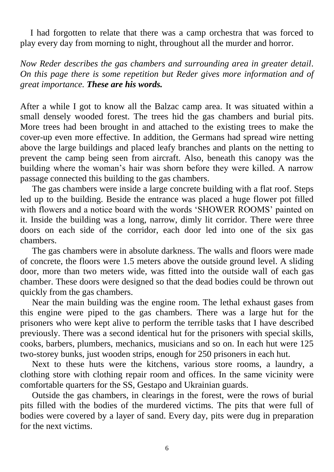I had forgotten to relate that there was a camp orchestra that was forced to play every day from morning to night, throughout all the murder and horror.

*Now Reder describes the gas chambers and surrounding area in greater detail. On this page there is some repetition but Reder gives more information and of great importance. These are his words.*

After a while I got to know all the Balzac camp area. It was situated within a small densely wooded forest. The trees hid the gas chambers and burial pits. More trees had been brought in and attached to the existing trees to make the cover-up even more effective. In addition, the Germans had spread wire netting above the large buildings and placed leafy branches and plants on the netting to prevent the camp being seen from aircraft. Also, beneath this canopy was the building where the woman's hair was shorn before they were killed. A narrow passage connected this building to the gas chambers.

The gas chambers were inside a large concrete building with a flat roof. Steps led up to the building. Beside the entrance was placed a huge flower pot filled with flowers and a notice board with the words 'SHOWER ROOMS' painted on it. Inside the building was a long, narrow, dimly lit corridor. There were three doors on each side of the corridor, each door led into one of the six gas chambers.

The gas chambers were in absolute darkness. The walls and floors were made of concrete, the floors were 1.5 meters above the outside ground level. A sliding door, more than two meters wide, was fitted into the outside wall of each gas chamber. These doors were designed so that the dead bodies could be thrown out quickly from the gas chambers.

Near the main building was the engine room. The lethal exhaust gases from this engine were piped to the gas chambers. There was a large hut for the prisoners who were kept alive to perform the terrible tasks that I have described previously. There was a second identical hut for the prisoners with special skills, cooks, barbers, plumbers, mechanics, musicians and so on. In each hut were 125 two-storey bunks, just wooden strips, enough for 250 prisoners in each hut.

Next to these huts were the kitchens, various store rooms, a laundry, a clothing store with clothing repair room and offices. In the same vicinity were comfortable quarters for the SS, Gestapo and Ukrainian guards.

Outside the gas chambers, in clearings in the forest, were the rows of burial pits filled with the bodies of the murdered victims. The pits that were full of bodies were covered by a layer of sand. Every day, pits were dug in preparation for the next victims.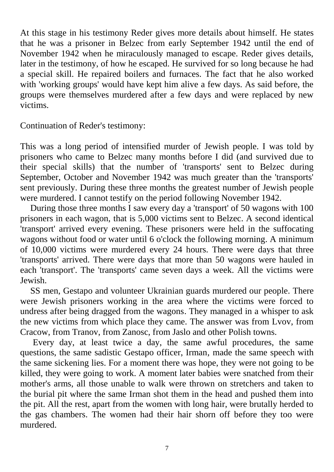At this stage in his testimony Reder gives more details about himself. He states that he was a prisoner in Belzec from early September 1942 until the end of November 1942 when he miraculously managed to escape. Reder gives details, later in the testimony, of how he escaped. He survived for so long because he had a special skill. He repaired boilers and furnaces. The fact that he also worked with 'working groups' would have kept him alive a few days. As said before, the groups were themselves murdered after a few days and were replaced by new victims.

Continuation of Reder's testimony:

This was a long period of intensified murder of Jewish people. I was told by prisoners who came to Belzec many months before I did (and survived due to their special skills) that the number of 'transports' sent to Belzec during September, October and November 1942 was much greater than the 'transports' sent previously. During these three months the greatest number of Jewish people were murdered. I cannot testify on the period following November 1942.

During those three months I saw every day a 'transport' of 50 wagons with 100 prisoners in each wagon, that is 5,000 victims sent to Belzec. A second identical 'transport' arrived every evening. These prisoners were held in the suffocating wagons without food or water until 6 o'clock the following morning. A minimum of 10,000 victims were murdered every 24 hours. There were days that three 'transports' arrived. There were days that more than 50 wagons were hauled in each 'transport'. The 'transports' came seven days a week. All the victims were Jewish.

SS men, Gestapo and volunteer Ukrainian guards murdered our people. There were Jewish prisoners working in the area where the victims were forced to undress after being dragged from the wagons. They managed in a whisper to ask the new victims from which place they came. The answer was from Lvov, from Cracow, from Tranov, from Zanosc, from Jaslo and other Polish towns.

Every day, at least twice a day, the same awful procedures, the same questions, the same sadistic Gestapo officer, Irman, made the same speech with the same sickening lies. For a moment there was hope, they were not going to be killed, they were going to work. A moment later babies were snatched from their mother's arms, all those unable to walk were thrown on stretchers and taken to the burial pit where the same Irman shot them in the head and pushed them into the pit. All the rest, apart from the women with long hair, were brutally herded to the gas chambers. The women had their hair shorn off before they too were murdered.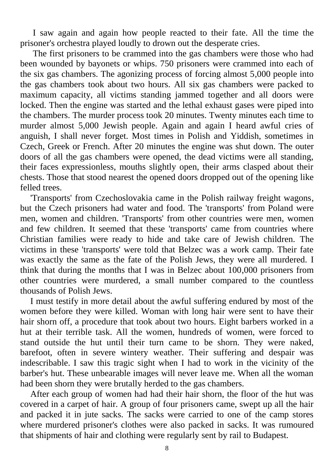I saw again and again how people reacted to their fate. All the time the prisoner's orchestra played loudly to drown out the desperate cries.

The first prisoners to be crammed into the gas chambers were those who had been wounded by bayonets or whips. 750 prisoners were crammed into each of the six gas chambers. The agonizing process of forcing almost 5,000 people into the gas chambers took about two hours. All six gas chambers were packed to maximum capacity, all victims standing jammed together and all doors were locked. Then the engine was started and the lethal exhaust gases were piped into the chambers. The murder process took 20 minutes. Twenty minutes each time to murder almost 5,000 Jewish people. Again and again I heard awful cries of anguish, I shall never forget. Most times in Polish and Yiddish, sometimes in Czech, Greek or French. After 20 minutes the engine was shut down. The outer doors of all the gas chambers were opened, the dead victims were all standing, their faces expressionless, mouths slightly open, their arms clasped about their chests. Those that stood nearest the opened doors dropped out of the opening like felled trees.

'Transports' from Czechoslovakia came in the Polish railway freight wagons, but the Czech prisoners had water and food. The 'transports' from Poland were men, women and children. 'Transports' from other countries were men, women and few children. It seemed that these 'transports' came from countries where Christian families were ready to hide and take care of Jewish children. The victims in these 'transports' were told that Belzec was a work camp. Their fate was exactly the same as the fate of the Polish Jews, they were all murdered. I think that during the months that I was in Belzec about 100,000 prisoners from other countries were murdered, a small number compared to the countless thousands of Polish Jews.

I must testify in more detail about the awful suffering endured by most of the women before they were killed. Woman with long hair were sent to have their hair shorn off, a procedure that took about two hours. Eight barbers worked in a hut at their terrible task. All the women, hundreds of women, were forced to stand outside the hut until their turn came to be shorn. They were naked, barefoot, often in severe wintery weather. Their suffering and despair was indescribable. I saw this tragic sight when I had to work in the vicinity of the barber's hut. These unbearable images will never leave me. When all the woman had been shorn they were brutally herded to the gas chambers.

After each group of women had had their hair shorn, the floor of the hut was covered in a carpet of hair. A group of four prisoners came, swept up all the hair and packed it in jute sacks. The sacks were carried to one of the camp stores where murdered prisoner's clothes were also packed in sacks. It was rumoured that shipments of hair and clothing were regularly sent by rail to Budapest.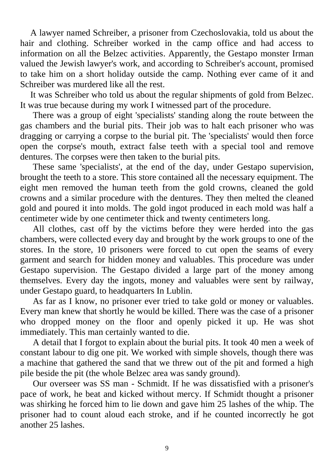A lawyer named Schreiber, a prisoner from Czechoslovakia, told us about the hair and clothing. Schreiber worked in the camp office and had access to information on all the Belzec activities. Apparently, the Gestapo monster Irman valued the Jewish lawyer's work, and according to Schreiber's account, promised to take him on a short holiday outside the camp. Nothing ever came of it and Schreiber was murdered like all the rest.

It was Schreiber who told us about the regular shipments of gold from Belzec. It was true because during my work I witnessed part of the procedure.

There was a group of eight 'specialists' standing along the route between the gas chambers and the burial pits. Their job was to halt each prisoner who was dragging or carrying a corpse to the burial pit. The 'specialists' would then force open the corpse's mouth, extract false teeth with a special tool and remove dentures. The corpses were then taken to the burial pits.

These same 'specialists', at the end of the day, under Gestapo supervision, brought the teeth to a store. This store contained all the necessary equipment. The eight men removed the human teeth from the gold crowns, cleaned the gold crowns and a similar procedure with the dentures. They then melted the cleaned gold and poured it into molds. The gold ingot produced in each mold was half a centimeter wide by one centimeter thick and twenty centimeters long.

All clothes, cast off by the victims before they were herded into the gas chambers, were collected every day and brought by the work groups to one of the stores. In the store, 10 prisoners were forced to cut open the seams of every garment and search for hidden money and valuables. This procedure was under Gestapo supervision. The Gestapo divided a large part of the money among themselves. Every day the ingots, money and valuables were sent by railway, under Gestapo guard, to headquarters In Lublin.

As far as I know, no prisoner ever tried to take gold or money or valuables. Every man knew that shortly he would be killed. There was the case of a prisoner who dropped money on the floor and openly picked it up. He was shot immediately. This man certainly wanted to die.

A detail that I forgot to explain about the burial pits. It took 40 men a week of constant labour to dig one pit. We worked with simple shovels, though there was a machine that gathered the sand that we threw out of the pit and formed a high pile beside the pit (the whole Belzec area was sandy ground).

Our overseer was SS man - Schmidt. If he was dissatisfied with a prisoner's pace of work, he beat and kicked without mercy. If Schmidt thought a prisoner was shirking he forced him to lie down and gave him 25 lashes of the whip. The prisoner had to count aloud each stroke, and if he counted incorrectly he got another 25 lashes.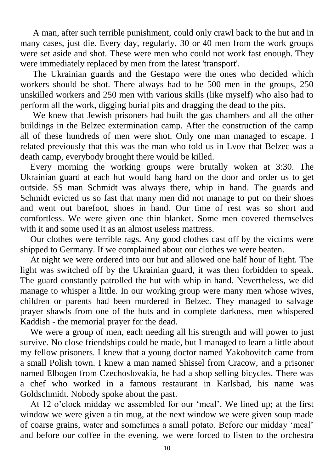A man, after such terrible punishment, could only crawl back to the hut and in many cases, just die. Every day, regularly, 30 or 40 men from the work groups were set aside and shot. These were men who could not work fast enough. They were immediately replaced by men from the latest 'transport'.

The Ukrainian guards and the Gestapo were the ones who decided which workers should be shot. There always had to be 500 men in the groups, 250 unskilled workers and 250 men with various skills (like myself) who also had to perform all the work, digging burial pits and dragging the dead to the pits.

We knew that Jewish prisoners had built the gas chambers and all the other buildings in the Belzec extermination camp. After the construction of the camp all of these hundreds of men were shot. Only one man managed to escape. I related previously that this was the man who told us in Lvov that Belzec was a death camp, everybody brought there would be killed.

Every morning the working groups were brutally woken at 3:30. The Ukrainian guard at each hut would bang hard on the door and order us to get outside. SS man Schmidt was always there, whip in hand. The guards and Schmidt evicted us so fast that many men did not manage to put on their shoes and went out barefoot, shoes in hand. Our time of rest was so short and comfortless. We were given one thin blanket. Some men covered themselves with it and some used it as an almost useless mattress.

Our clothes were terrible rags. Any good clothes cast off by the victims were shipped to Germany. If we complained about our clothes we were beaten.

At night we were ordered into our hut and allowed one half hour of light. The light was switched off by the Ukrainian guard, it was then forbidden to speak. The guard constantly patrolled the hut with whip in hand. Nevertheless, we did manage to whisper a little. In our working group were many men whose wives, children or parents had been murdered in Belzec. They managed to salvage prayer shawls from one of the huts and in complete darkness, men whispered Kaddish - the memorial prayer for the dead.

We were a group of men, each needing all his strength and will power to just survive. No close friendships could be made, but I managed to learn a little about my fellow prisoners. I knew that a young doctor named Yakobovitch came from a small Polish town. I knew a man named Shissel from Cracow, and a prisoner named Elbogen from Czechoslovakia, he had a shop selling bicycles. There was a chef who worked in a famous restaurant in Karlsbad, his name was Goldschmidt. Nobody spoke about the past.

At 12 o'clock midday we assembled for our 'meal'. We lined up; at the first window we were given a tin mug, at the next window we were given soup made of coarse grains, water and sometimes a small potato. Before our midday 'meal' and before our coffee in the evening, we were forced to listen to the orchestra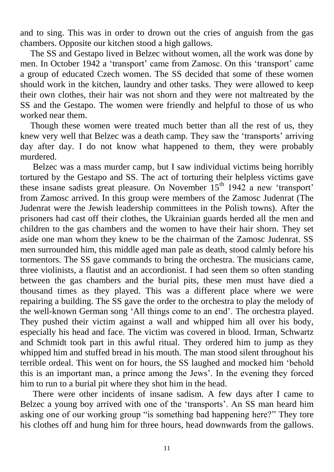and to sing. This was in order to drown out the cries of anguish from the gas chambers. Opposite our kitchen stood a high gallows.

The SS and Gestapo lived in Belzec without women, all the work was done by men. In October 1942 a 'transport' came from Zamosc. On this 'transport' came a group of educated Czech women. The SS decided that some of these women should work in the kitchen, laundry and other tasks. They were allowed to keep their own clothes, their hair was not shorn and they were not maltreated by the SS and the Gestapo. The women were friendly and helpful to those of us who worked near them.

Though these women were treated much better than all the rest of us, they knew very well that Belzec was a death camp. They saw the 'transports' arriving day after day. I do not know what happened to them, they were probably murdered.

Belzec was a mass murder camp, but I saw individual victims being horribly tortured by the Gestapo and SS. The act of torturing their helpless victims gave these insane sadists great pleasure. On November  $15<sup>th</sup> 1942$  a new 'transport' from Zamosc arrived. In this group were members of the Zamosc Judenrat (The Judenrat were the Jewish leadership committees in the Polish towns). After the prisoners had cast off their clothes, the Ukrainian guards herded all the men and children to the gas chambers and the women to have their hair shorn. They set aside one man whom they knew to be the chairman of the Zamosc Judenrat. SS men surrounded him, this middle aged man pale as death, stood calmly before his tormentors. The SS gave commands to bring the orchestra. The musicians came, three violinists, a flautist and an accordionist. I had seen them so often standing between the gas chambers and the burial pits, these men must have died a thousand times as they played. This was a different place where we were repairing a building. The SS gave the order to the orchestra to play the melody of the well-known German song 'All things come to an end'. The orchestra played. They pushed their victim against a wall and whipped him all over his body, especially his head and face. The victim was covered in blood. Irman, Schwartz and Schmidt took part in this awful ritual. They ordered him to jump as they whipped him and stuffed bread in his mouth. The man stood silent throughout his terrible ordeal. This went on for hours, the SS laughed and mocked him 'behold this is an important man, a prince among the Jews'. In the evening they forced him to run to a burial pit where they shot him in the head.

There were other incidents of insane sadism. A few days after I came to Belzec a young boy arrived with one of the 'transports'. An SS man heard him asking one of our working group "is something bad happening here?" They tore his clothes off and hung him for three hours, head downwards from the gallows.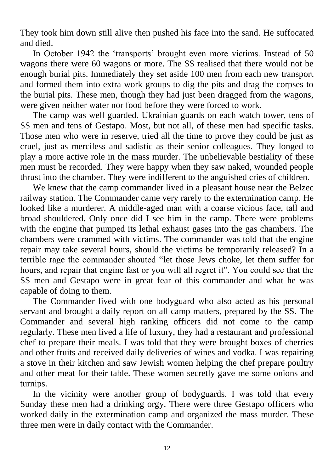They took him down still alive then pushed his face into the sand. He suffocated and died.

In October 1942 the 'transports' brought even more victims. Instead of 50 wagons there were 60 wagons or more. The SS realised that there would not be enough burial pits. Immediately they set aside 100 men from each new transport and formed them into extra work groups to dig the pits and drag the corpses to the burial pits. These men, though they had just been dragged from the wagons, were given neither water nor food before they were forced to work.

The camp was well guarded. Ukrainian guards on each watch tower, tens of SS men and tens of Gestapo. Most, but not all, of these men had specific tasks. Those men who were in reserve, tried all the time to prove they could be just as cruel, just as merciless and sadistic as their senior colleagues. They longed to play a more active role in the mass murder. The unbelievable bestiality of these men must be recorded. They were happy when they saw naked, wounded people thrust into the chamber. They were indifferent to the anguished cries of children.

We knew that the camp commander lived in a pleasant house near the Belzec railway station. The Commander came very rarely to the extermination camp. He looked like a murderer. A middle-aged man with a coarse vicious face, tall and broad shouldered. Only once did I see him in the camp. There were problems with the engine that pumped its lethal exhaust gases into the gas chambers. The chambers were crammed with victims. The commander was told that the engine repair may take several hours, should the victims be temporarily released? In a terrible rage the commander shouted "let those Jews choke, let them suffer for hours, and repair that engine fast or you will all regret it". You could see that the SS men and Gestapo were in great fear of this commander and what he was capable of doing to them.

The Commander lived with one bodyguard who also acted as his personal servant and brought a daily report on all camp matters, prepared by the SS. The Commander and several high ranking officers did not come to the camp regularly. These men lived a life of luxury, they had a restaurant and professional chef to prepare their meals. I was told that they were brought boxes of cherries and other fruits and received daily deliveries of wines and vodka. I was repairing a stove in their kitchen and saw Jewish women helping the chef prepare poultry and other meat for their table. These women secretly gave me some onions and turnips.

In the vicinity were another group of bodyguards. I was told that every Sunday these men had a drinking orgy. There were three Gestapo officers who worked daily in the extermination camp and organized the mass murder. These three men were in daily contact with the Commander.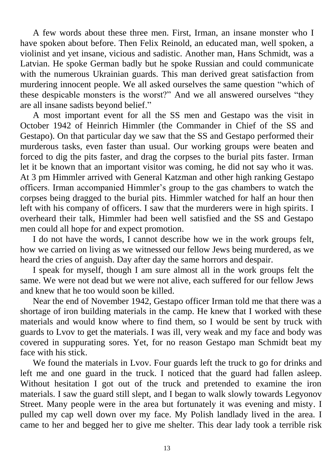A few words about these three men. First, Irman, an insane monster who I have spoken about before. Then Felix Reinold, an educated man, well spoken, a violinist and yet insane, vicious and sadistic. Another man, Hans Schmidt, was a Latvian. He spoke German badly but he spoke Russian and could communicate with the numerous Ukrainian guards. This man derived great satisfaction from murdering innocent people. We all asked ourselves the same question "which of these despicable monsters is the worst?" And we all answered ourselves "they are all insane sadists beyond belief."

A most important event for all the SS men and Gestapo was the visit in October 1942 of Heinrich Himmler (the Commander in Chief of the SS and Gestapo). On that particular day we saw that the SS and Gestapo performed their murderous tasks, even faster than usual. Our working groups were beaten and forced to dig the pits faster, and drag the corpses to the burial pits faster. Irman let it be known that an important visitor was coming, he did not say who it was. At 3 pm Himmler arrived with General Katzman and other high ranking Gestapo officers. Irman accompanied Himmler's group to the gas chambers to watch the corpses being dragged to the burial pits. Himmler watched for half an hour then left with his company of officers. I saw that the murderers were in high spirits. I overheard their talk, Himmler had been well satisfied and the SS and Gestapo men could all hope for and expect promotion.

I do not have the words, I cannot describe how we in the work groups felt, how we carried on living as we witnessed our fellow Jews being murdered, as we heard the cries of anguish. Day after day the same horrors and despair.

I speak for myself, though I am sure almost all in the work groups felt the same. We were not dead but we were not alive, each suffered for our fellow Jews and knew that he too would soon be killed.

Near the end of November 1942, Gestapo officer Irman told me that there was a shortage of iron building materials in the camp. He knew that I worked with these materials and would know where to find them, so I would be sent by truck with guards to Lvov to get the materials. I was ill, very weak and my face and body was covered in suppurating sores. Yet, for no reason Gestapo man Schmidt beat my face with his stick.

We found the materials in Lvov. Four guards left the truck to go for drinks and left me and one guard in the truck. I noticed that the guard had fallen asleep. Without hesitation I got out of the truck and pretended to examine the iron materials. I saw the guard still slept, and I began to walk slowly towards Legyonov Street. Many people were in the area but fortunately it was evening and misty. I pulled my cap well down over my face. My Polish landlady lived in the area. I came to her and begged her to give me shelter. This dear lady took a terrible risk